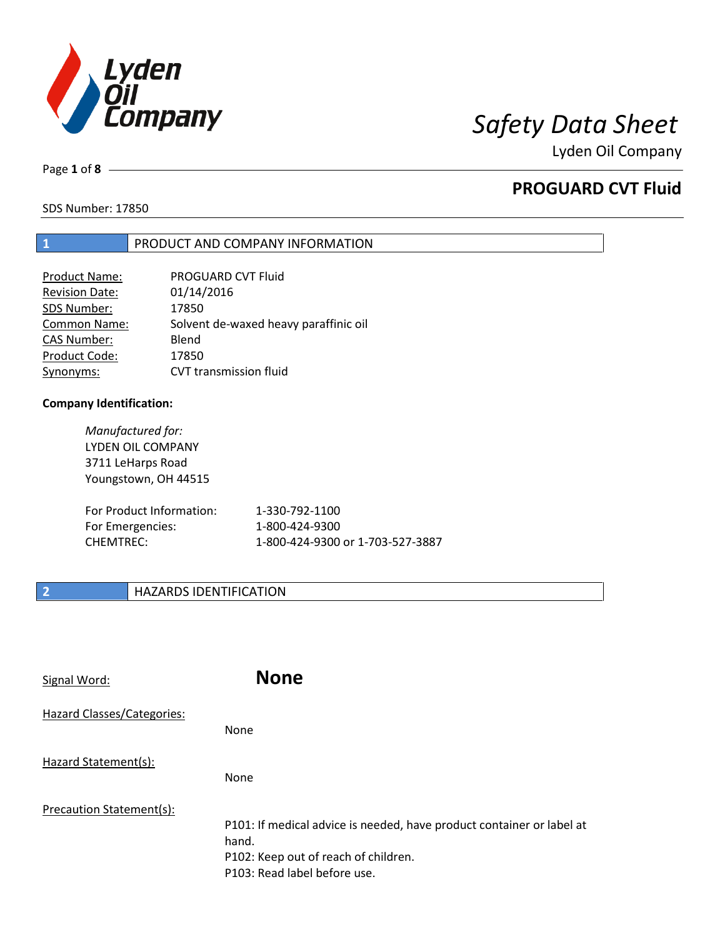

Page **1** of **8**

# **PROGUARD CVT Fluid**

SDS Number: 17850

### **1** PRODUCT AND COMPANY INFORMATION

| Product Name:         | PROGUARD CVT Fluid                    |
|-----------------------|---------------------------------------|
| <b>Revision Date:</b> | 01/14/2016                            |
| SDS Number:           | 17850                                 |
| Common Name:          | Solvent de-waxed heavy paraffinic oil |
| <b>CAS Number:</b>    | Blend                                 |
| Product Code:         | 17850                                 |
| Synonyms:             | <b>CVT</b> transmission fluid         |

### **Company Identification:**

*Manufactured for:* LYDEN OIL COMPANY 3711 LeHarps Road Youngstown, OH 44515

| For Product Information: | 1-330-792-1100                   |
|--------------------------|----------------------------------|
| For Emergencies:         | 1-800-424-9300                   |
| CHEMTREC:                | 1-800-424-9300 or 1-703-527-3887 |

## **2 HAZARDS IDENTIFICATION**

| Signal Word:               | <b>None</b>                                                                                                                                            |
|----------------------------|--------------------------------------------------------------------------------------------------------------------------------------------------------|
| Hazard Classes/Categories: | <b>None</b>                                                                                                                                            |
| Hazard Statement(s):       | <b>None</b>                                                                                                                                            |
| Precaution Statement(s):   | P101: If medical advice is needed, have product container or label at<br>hand.<br>P102: Keep out of reach of children.<br>P103: Read label before use. |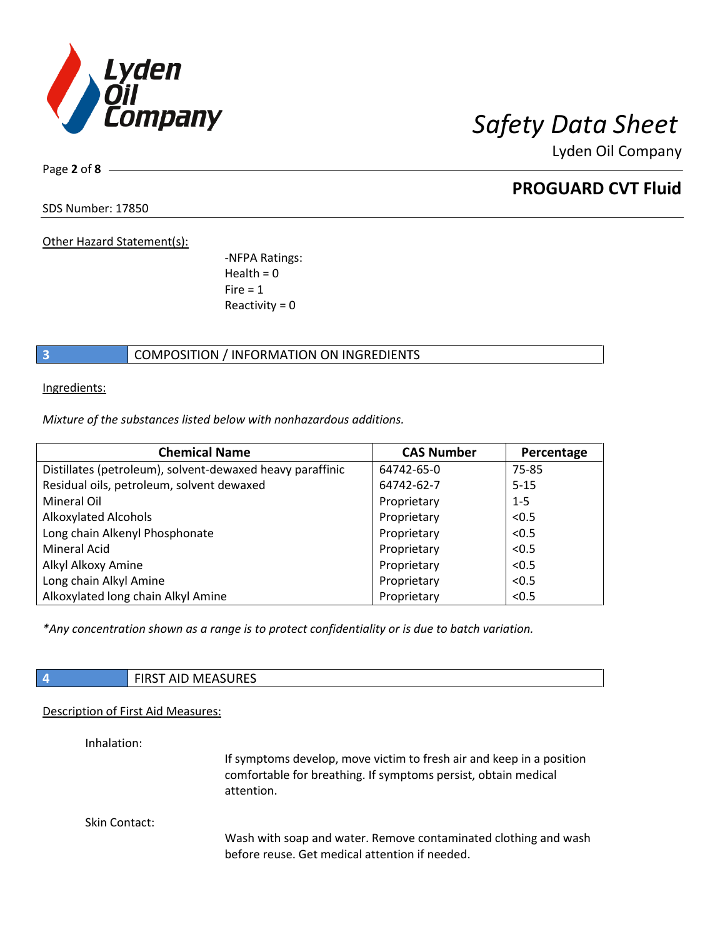

Page **2** of **8**

# **PROGUARD CVT Fluid**

SDS Number: 17850

Other Hazard Statement(s):

-NFPA Ratings:  $Health = 0$  $Fire = 1$ Reactivity  $= 0$ 

## **3** COMPOSITION / INFORMATION ON INGREDIENTS

Ingredients:

*Mixture of the substances listed below with nonhazardous additions.*

| <b>Chemical Name</b>                                      | <b>CAS Number</b> | Percentage |
|-----------------------------------------------------------|-------------------|------------|
| Distillates (petroleum), solvent-dewaxed heavy paraffinic | 64742-65-0        | 75-85      |
| Residual oils, petroleum, solvent dewaxed                 | 64742-62-7        | $5 - 15$   |
| Mineral Oil                                               | Proprietary       | $1 - 5$    |
| <b>Alkoxylated Alcohols</b>                               | Proprietary       | < 0.5      |
| Long chain Alkenyl Phosphonate                            | Proprietary       | < 0.5      |
| <b>Mineral Acid</b>                                       | Proprietary       | < 0.5      |
| Alkyl Alkoxy Amine                                        | Proprietary       | < 0.5      |
| Long chain Alkyl Amine                                    | Proprietary       | < 0.5      |
| Alkoxylated long chain Alkyl Amine                        | Proprietary       | < 0.5      |

*\*Any concentration shown as a range is to protect confidentiality or is due to batch variation.*

| $\cdots$<br>- 71<br>M<br>AID MLAJUNLJ<br>. |
|--------------------------------------------|
|                                            |

### Description of First Aid Measures:

Inhalation:

If symptoms develop, move victim to fresh air and keep in a position comfortable for breathing. If symptoms persist, obtain medical attention.

Skin Contact:

Wash with soap and water. Remove contaminated clothing and wash before reuse. Get medical attention if needed.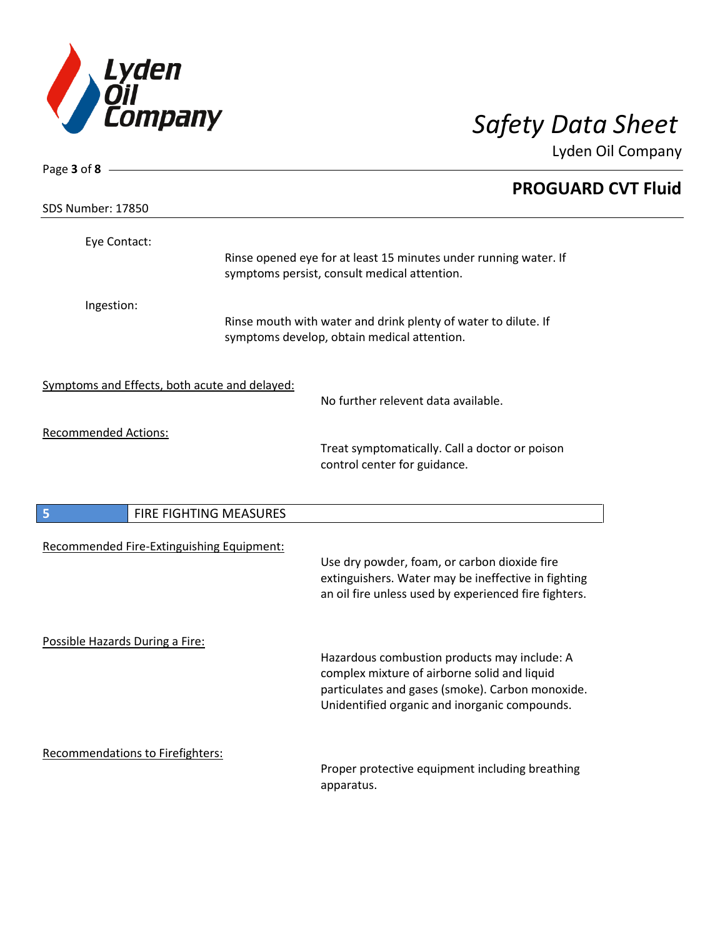

| Page 3 of $8 -$                               |                                                                                                                                                                                                   |  |
|-----------------------------------------------|---------------------------------------------------------------------------------------------------------------------------------------------------------------------------------------------------|--|
|                                               | <b>PROGUARD CVT Fluid</b>                                                                                                                                                                         |  |
| <b>SDS Number: 17850</b>                      |                                                                                                                                                                                                   |  |
| Eye Contact:                                  | Rinse opened eye for at least 15 minutes under running water. If<br>symptoms persist, consult medical attention.                                                                                  |  |
| Ingestion:                                    | Rinse mouth with water and drink plenty of water to dilute. If<br>symptoms develop, obtain medical attention.                                                                                     |  |
| Symptoms and Effects, both acute and delayed: | No further relevent data available.                                                                                                                                                               |  |
| <b>Recommended Actions:</b>                   | Treat symptomatically. Call a doctor or poison<br>control center for guidance.                                                                                                                    |  |
| 5<br>FIRE FIGHTING MEASURES                   |                                                                                                                                                                                                   |  |
| Recommended Fire-Extinguishing Equipment:     | Use dry powder, foam, or carbon dioxide fire<br>extinguishers. Water may be ineffective in fighting<br>an oil fire unless used by experienced fire fighters.                                      |  |
| Possible Hazards During a Fire:               | Hazardous combustion products may include: A<br>complex mixture of airborne solid and liquid<br>particulates and gases (smoke). Carbon monoxide.<br>Unidentified organic and inorganic compounds. |  |
| Recommendations to Firefighters:              | Proper protective equipment including breathing<br>apparatus.                                                                                                                                     |  |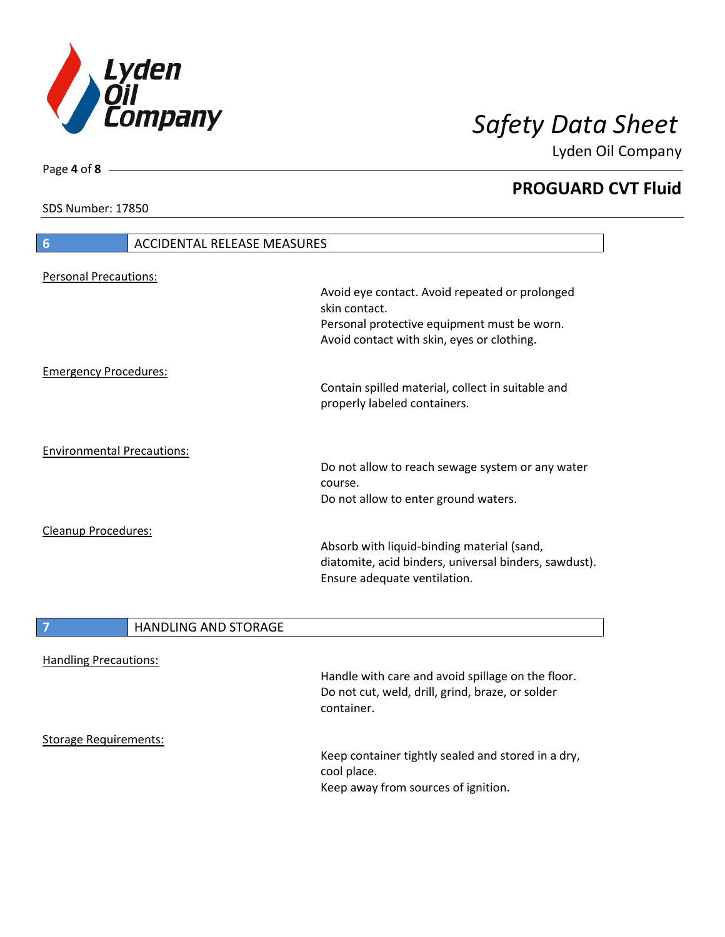

**PROGUARD CVT Fluid**

SDS Number: 17850

| 6                                 | ACCIDENTAL RELEASE MEASURES                                                                                                         |
|-----------------------------------|-------------------------------------------------------------------------------------------------------------------------------------|
| <b>Personal Precautions:</b>      |                                                                                                                                     |
|                                   | Avoid eye contact. Avoid repeated or prolonged<br>skin contact.                                                                     |
|                                   | Personal protective equipment must be worn.<br>Avoid contact with skin, eyes or clothing.                                           |
| <b>Emergency Procedures:</b>      |                                                                                                                                     |
|                                   | Contain spilled material, collect in suitable and<br>properly labeled containers.                                                   |
| <b>Environmental Precautions:</b> |                                                                                                                                     |
|                                   | Do not allow to reach sewage system or any water<br>course.                                                                         |
|                                   | Do not allow to enter ground waters.                                                                                                |
| Cleanup Procedures:               | Absorb with liquid-binding material (sand,<br>diatomite, acid binders, universal binders, sawdust).<br>Ensure adequate ventilation. |

|                              | <b>HANDLING AND STORAGE</b> |                                                                                                       |
|------------------------------|-----------------------------|-------------------------------------------------------------------------------------------------------|
| <b>Handling Precautions:</b> |                             | Handle with care and avoid spillage on the floor.<br>Do not cut, weld, drill, grind, braze, or solder |
| <b>Storage Requirements:</b> |                             | container.<br>Keep container tightly sealed and stored in a dry,                                      |
|                              |                             | cool place.<br>Keep away from sources of ignition.                                                    |

Page **4** of **8**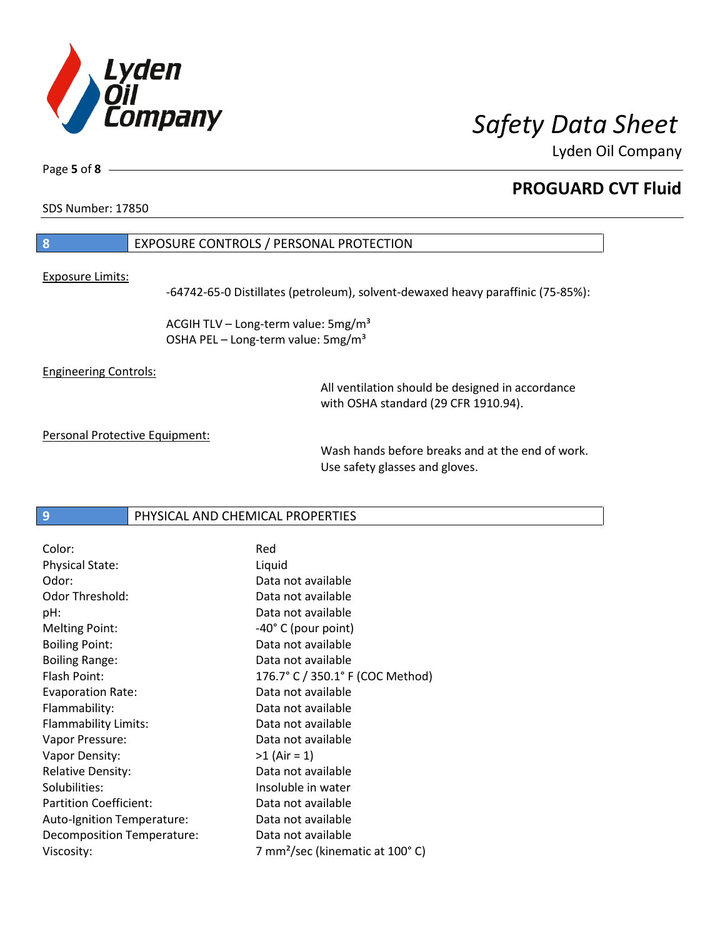

Page **5** of **8**

# **PROGUARD CVT Fluid**

SDS Number: 17850

## **8** EXPOSURE CONTROLS / PERSONAL PROTECTION

Exposure Limits:

-64742-65-0 Distillates (petroleum), solvent-dewaxed heavy paraffinic (75-85%):

ACGIH TLV – Long-term value:  $5mg/m<sup>3</sup>$ OSHA PEL - Long-term value: 5mg/m<sup>3</sup>

Engineering Controls:

All ventilation should be designed in accordance with OSHA standard (29 CFR 1910.94).

Personal Protective Equipment:

Wash hands before breaks and at the end of work. Use safety glasses and gloves.

**9** PHYSICAL AND CHEMICAL PROPERTIES

| Color:                        | Red                                         |
|-------------------------------|---------------------------------------------|
| <b>Physical State:</b>        | Liquid                                      |
| Odor:                         | Data not available                          |
| Odor Threshold:               | Data not available                          |
| pH:                           | Data not available                          |
| <b>Melting Point:</b>         | $-40^{\circ}$ C (pour point)                |
| <b>Boiling Point:</b>         | Data not available                          |
| <b>Boiling Range:</b>         | Data not available                          |
| Flash Point:                  | 176.7° C / 350.1° F (COC Method)            |
| <b>Evaporation Rate:</b>      | Data not available                          |
| Flammability:                 | Data not available                          |
| Flammability Limits:          | Data not available                          |
| Vapor Pressure:               | Data not available                          |
| Vapor Density:                | $>1$ (Air = 1)                              |
| <b>Relative Density:</b>      | Data not available                          |
| Solubilities:                 | Insoluble in water                          |
| <b>Partition Coefficient:</b> | Data not available                          |
| Auto-Ignition Temperature:    | Data not available                          |
| Decomposition Temperature:    | Data not available                          |
| Viscosity:                    | 7 mm <sup>2</sup> /sec (kinematic at 100°C) |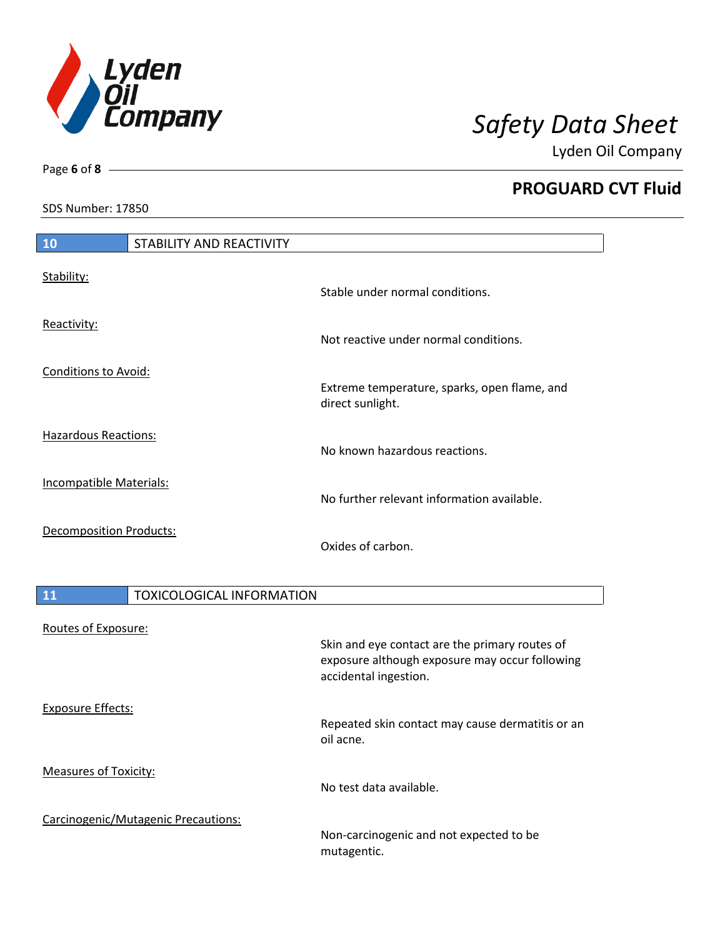

**PROGUARD CVT Fluid**

SDS Number: 17850

Page **6** of **8**

| 10                             | <b>STABILITY AND REACTIVITY</b>  |                                                                                                                           |
|--------------------------------|----------------------------------|---------------------------------------------------------------------------------------------------------------------------|
| Stability:                     |                                  | Stable under normal conditions.                                                                                           |
| Reactivity:                    |                                  | Not reactive under normal conditions.                                                                                     |
| <b>Conditions to Avoid:</b>    |                                  | Extreme temperature, sparks, open flame, and<br>direct sunlight.                                                          |
| <b>Hazardous Reactions:</b>    |                                  | No known hazardous reactions.                                                                                             |
| <b>Incompatible Materials:</b> |                                  | No further relevant information available.                                                                                |
| <b>Decomposition Products:</b> |                                  | Oxides of carbon.                                                                                                         |
| 11                             | <b>TOXICOLOGICAL INFORMATION</b> |                                                                                                                           |
| Routes of Exposure:            |                                  | Skin and eye contact are the primary routes of<br>exposure although exposure may occur following<br>accidental ingestion. |

Repeated skin contact may cause dermatitis or an oil acne.

No test data available.

Carcinogenic/Mutagenic Precautions:

Exposure Effects:

I

Measures of Toxicity:

Non-carcinogenic and not expected to be mutagentic.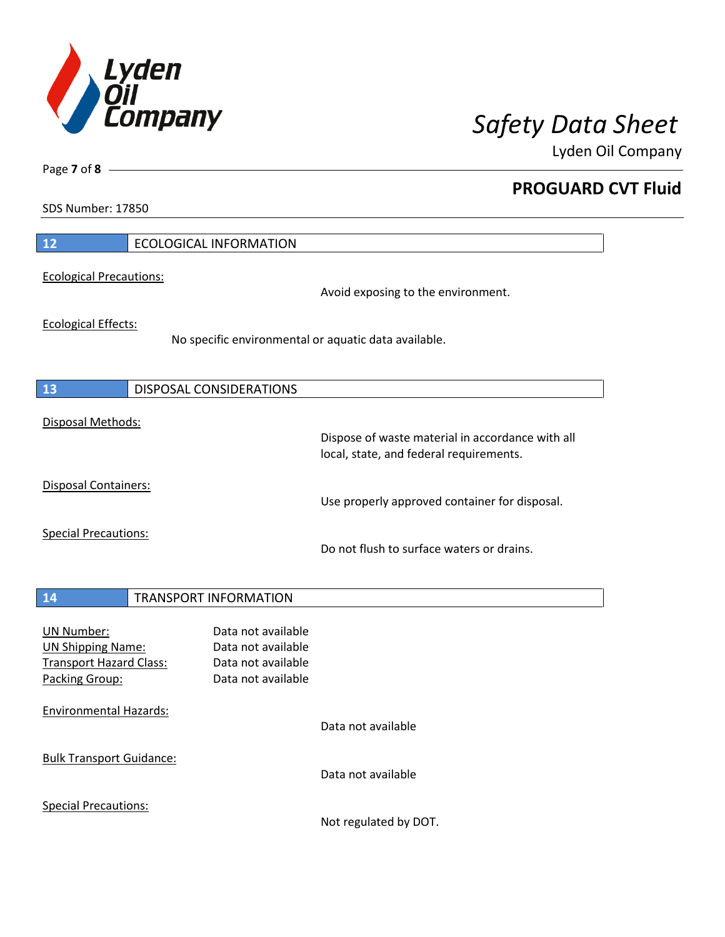

**PROGUARD CVT Fluid**

SDS Number: 17850

Page **7** of **8**

| 12                                                                                                | <b>ECOLOGICAL INFORMATION</b>                                                        |                                                                                             |
|---------------------------------------------------------------------------------------------------|--------------------------------------------------------------------------------------|---------------------------------------------------------------------------------------------|
| <b>Ecological Precautions:</b>                                                                    |                                                                                      | Avoid exposing to the environment.                                                          |
| <b>Ecological Effects:</b>                                                                        | No specific environmental or aquatic data available.                                 |                                                                                             |
| 13                                                                                                | DISPOSAL CONSIDERATIONS                                                              |                                                                                             |
| Disposal Methods:                                                                                 |                                                                                      | Dispose of waste material in accordance with all<br>local, state, and federal requirements. |
| Disposal Containers:                                                                              |                                                                                      | Use properly approved container for disposal.                                               |
| <b>Special Precautions:</b>                                                                       |                                                                                      | Do not flush to surface waters or drains.                                                   |
| 14                                                                                                | <b>TRANSPORT INFORMATION</b>                                                         |                                                                                             |
| <b>UN Number:</b><br><b>UN Shipping Name:</b><br><b>Transport Hazard Class:</b><br>Packing Group: | Data not available<br>Data not available<br>Data not available<br>Data not available |                                                                                             |
| <b>Environmental Hazards:</b>                                                                     |                                                                                      | Data not available                                                                          |
| <b>Bulk Transport Guidance:</b>                                                                   |                                                                                      | Data not available                                                                          |
| <b>Special Precautions:</b>                                                                       |                                                                                      |                                                                                             |

Not regulated by DOT.